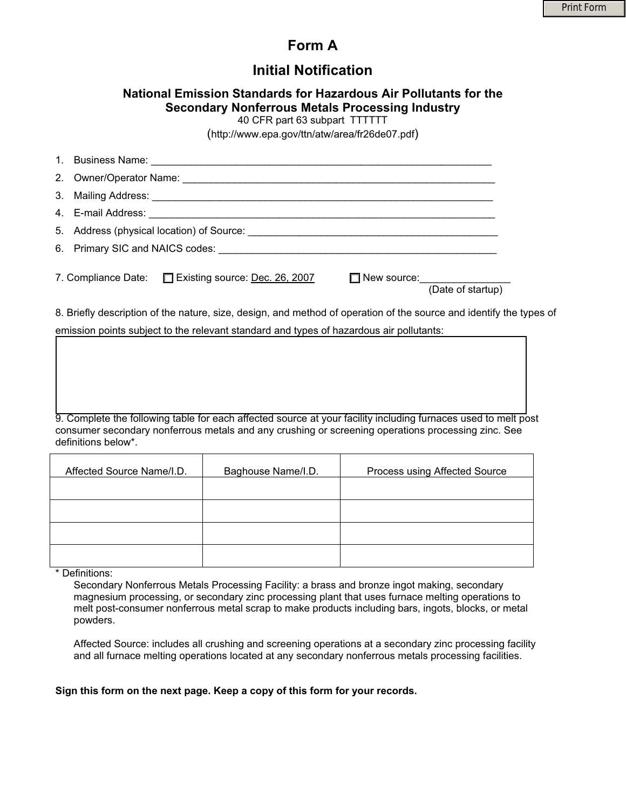## **Form A**

## **Initial Notification**

## **National Emission Standards for Hazardous Air Pollutants for the Secondary Nonferrous Metals Processing Industry**

40 CFR part 63 subpart TTTTTT

(http://www.epa.gov/ttn/atw/area/fr26de07.pdf)

| 5. Address (physical location) of Source: example and all the set of the set of the set of the set of the set of the set of the set of the set of the set of the set of the set of the set of the set of the set of the set of |  |
|--------------------------------------------------------------------------------------------------------------------------------------------------------------------------------------------------------------------------------|--|
|                                                                                                                                                                                                                                |  |
| 7. Compliance Date: <u>Existing source:</u> Dec. 26, 2007<br>(Date of startup)                                                                                                                                                 |  |

8. Briefly description of the nature, size, design, and method of operation of the source and identify the types of emission points subject to the relevant standard and types of hazardous air pollutants:

9. Complete the following table for each affected source at your facility including furnaces used to melt post consumer secondary nonferrous metals and any crushing or screening operations processing zinc. See definitions below\*.

| Affected Source Name/I.D. | Baghouse Name/I.D. | Process using Affected Source |
|---------------------------|--------------------|-------------------------------|
|                           |                    |                               |
|                           |                    |                               |
|                           |                    |                               |
|                           |                    |                               |

\* Definitions:

Secondary Nonferrous Metals Processing Facility: a brass and bronze ingot making, secondary magnesium processing, or secondary zinc processing plant that uses furnace melting operations to melt post-consumer nonferrous metal scrap to make products including bars, ingots, blocks, or metal powders.

Affected Source: includes all crushing and screening operations at a secondary zinc processing facility and all furnace melting operations located at any secondary nonferrous metals processing facilities.

#### **Sign this form on the next page. Keep a copy of this form for your records.**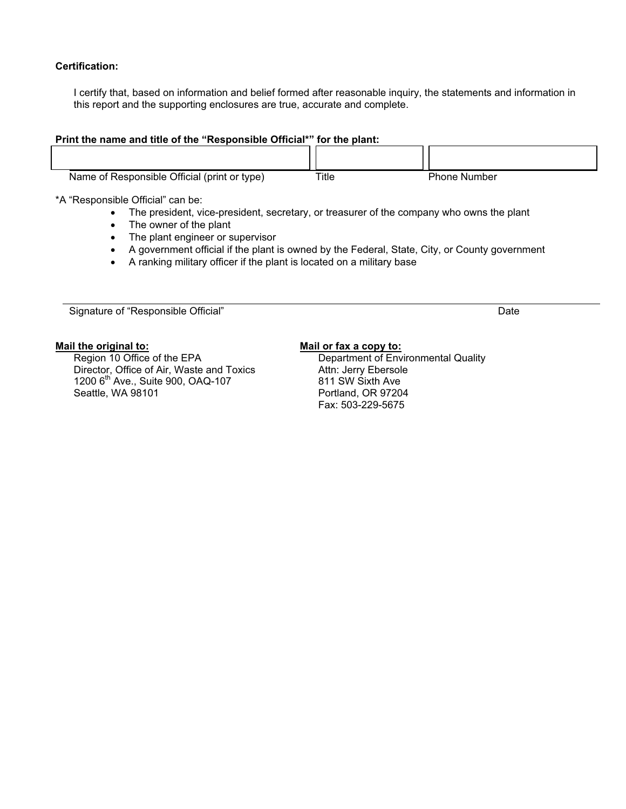### **Certification:**

I certify that, based on information and belief formed after reasonable inquiry, the statements and information in this report and the supporting enclosures are true, accurate and complete.

#### **Print the name and title of the "Responsible Official\*" for the plant:**

| Name of Responsible Official (print or type) | Title | <b>Phone Number</b> |  |
|----------------------------------------------|-------|---------------------|--|

\*A "Responsible Official" can be:

- The president, vice-president, secretary, or treasurer of the company who owns the plant
- The owner of the plant
- The plant engineer or supervisor
- A government official if the plant is owned by the Federal, State, City, or County government
- A ranking military officer if the plant is located on a military base

Signature of "Responsible Official" and the control of the control of the control of the control of the control of the control of the control of the control of the control of the control of the control of the control of th

#### **Mail the original to:**

Region 10 Office of the EPA Director, Office of Air, Waste and Toxics 1200 6<sup>th</sup> Ave., Suite 900, OAQ-107 Seattle, WA 98101

### **Mail or fax a copy to:**

Department of Environmental Quality Attn: Jerry Ebersole 811 SW Sixth Ave Portland, OR 97204 Fax: 503-229-5675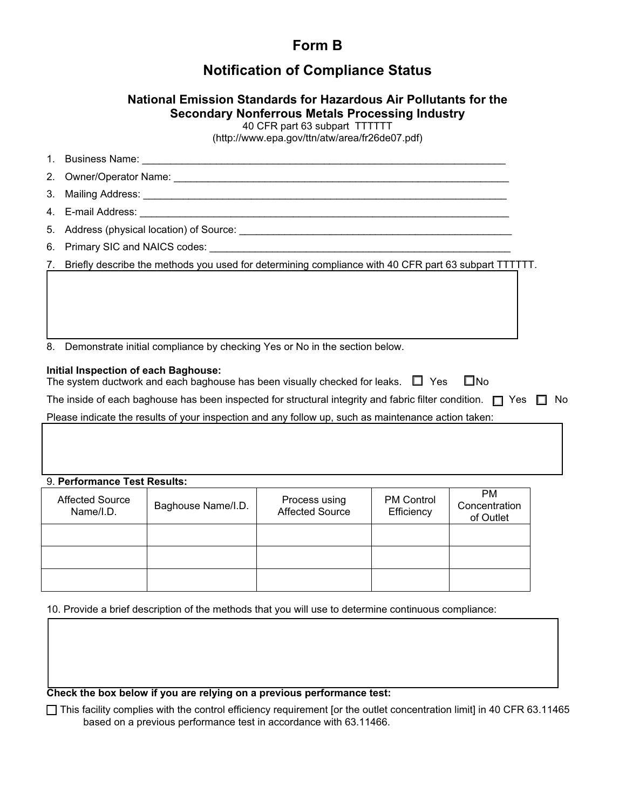# **Form B**

## **Notification of Compliance Status**

## **National Emission Standards for Hazardous Air Pollutants for the Secondary Nonferrous Metals Processing Industry**

40 CFR part 63 subpart TTTTTT

(http://www.epa.gov/ttn/atw/area/fr26de07.pdf)

| 7. Briefly describe the methods you used for determining compliance with 40 CFR part 63 subpart TTTTTT.                                                   |  |
|-----------------------------------------------------------------------------------------------------------------------------------------------------------|--|
|                                                                                                                                                           |  |
|                                                                                                                                                           |  |
|                                                                                                                                                           |  |
|                                                                                                                                                           |  |
| 8. Demonstrate initial compliance by checking Yes or No in the section below.                                                                             |  |
| Initial Inspection of each Baghouse:<br>$\square$ No<br>The system ductwork and each baghouse has been visually checked for leaks. $\quad \Box \quad$ Yes |  |

The inside of each baghouse has been inspected for structural integrity and fabric filter condition.  $\Box$  Yes  $\Box$  No

Please indicate the results of your inspection and any follow up, such as maintenance action taken:

### 9. **Performance Test Results:**

| <b>Affected Source</b><br>Name/I.D. | Baghouse Name/I.D. | Process using<br><b>Affected Source</b> | <b>PM Control</b><br>Efficiency | <b>PM</b><br>Concentration<br>of Outlet |
|-------------------------------------|--------------------|-----------------------------------------|---------------------------------|-----------------------------------------|
|                                     |                    |                                         |                                 |                                         |
|                                     |                    |                                         |                                 |                                         |
|                                     |                    |                                         |                                 |                                         |

10. Provide a brief description of the methods that you will use to determine continuous compliance:

**Check the box below if you are relying on a previous performance test:** 

Ƒ This facility complies with the control efficiency requirement [or the outlet concentration limit] in 40 CFR 63.11465 based on a previous performance test in accordance with 63.11466.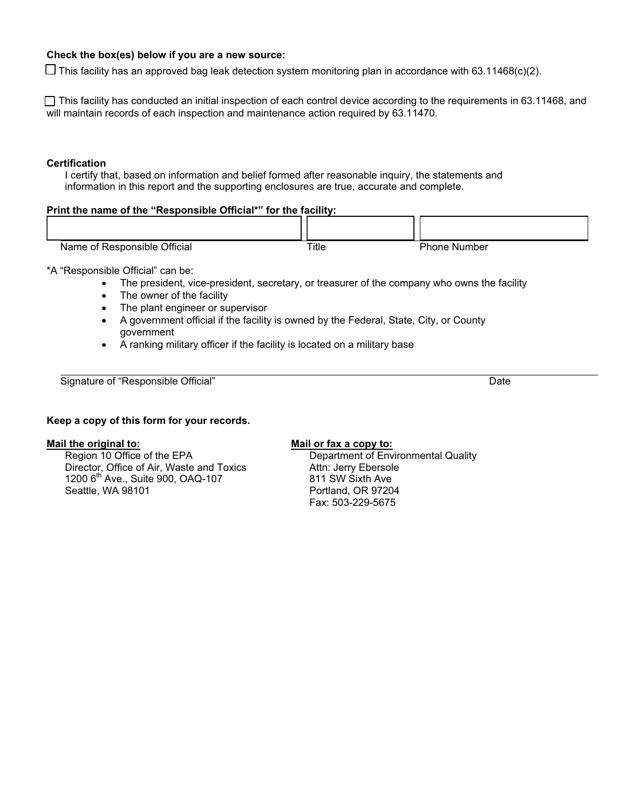### **Check the box(es) below if you are a new source:**

 $\Box$  This facility has an approved bag leak detection system monitoring plan in accordance with 63.11468(c)(2).

□ This facility has conducted an initial inspection of each control device according to the requirements in 63.11468, and will maintain records of each inspection and maintenance action required by 63.11470.

#### **Certification**

I certify that, based on information and belief formed after reasonable inquiry, the statements and information in this report and the supporting enclosures are true, accurate and complete.

## **Print the name of the "Responsible Official\*" for the facility:**

| Official<br>Responsible<br>. of:<br>Name . | Title<br>____ | Phone,<br>Number |  |
|--------------------------------------------|---------------|------------------|--|

\*A "Responsible Official" can be:

- The president, vice-president, secretary, or treasurer of the company who owns the facility
- The owner of the facility
- The plant engineer or supervisor
- A government official if the facility is owned by the Federal, State, City, or County government
- $\bullet$  A ranking military officer if the facility is located on a military base

Signature of "Responsible Official" **Date** Date Controller and Date Date Date Date

#### **Keep a copy of this form for your records.**

#### **Mail the original to:**

Region 10 Office of the EPA Director, Office of Air, Waste and Toxics  $1200$  6<sup>th</sup> Ave., Suite 900, OAQ-107 Seattle, WA 98101

#### **Mail or fax a copy to:**

Department of Environmental Quality Attn: Jerry Ebersole 811 SW Sixth Ave Portland, OR 97204 Fax: 503-229-5675

ıг